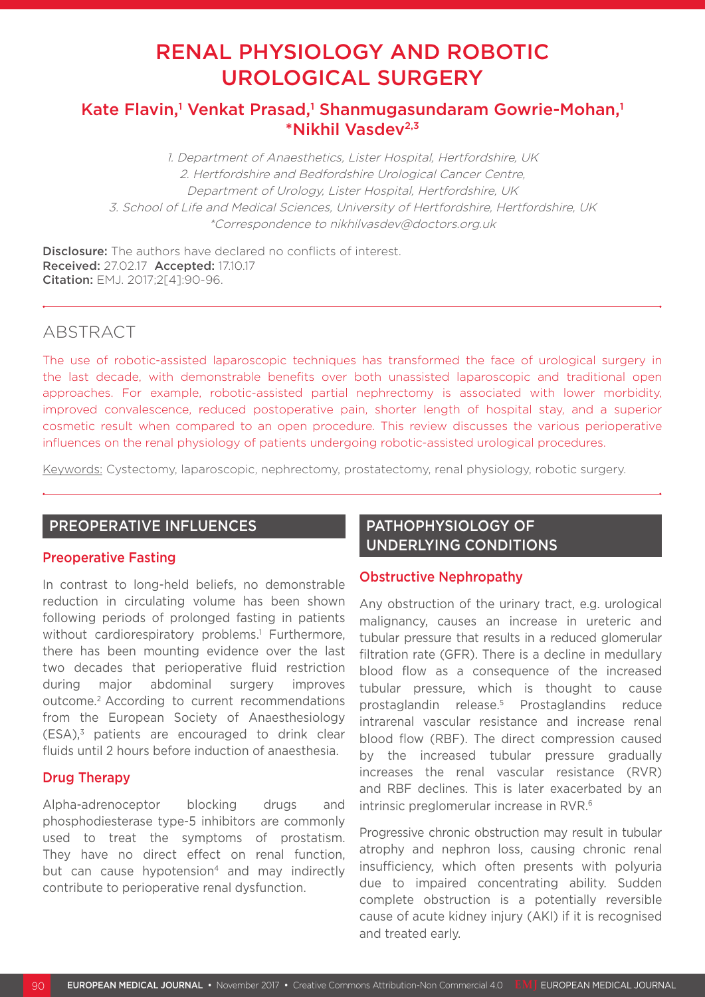# RENAL PHYSIOLOGY AND ROBOTIC UROLOGICAL SURGERY

# Kate Flavin,<sup>1</sup> Venkat Prasad,<sup>1</sup> Shanmugasundaram Gowrie-Mohan,<sup>1</sup> \*Nikhil Vasdev2,3

1. Department of Anaesthetics, Lister Hospital, Hertfordshire, UK 2. Hertfordshire and Bedfordshire Urological Cancer Centre, Department of Urology, Lister Hospital, Hertfordshire, UK 3. School of Life and Medical Sciences, University of Hertfordshire, Hertfordshire, UK \*Correspondence to nikhilvasdev@doctors.org.uk

Disclosure: The authors have declared no conflicts of interest. Received: 27.02.17 Accepted: 17.10.17 Citation: EMJ. 2017;2[4]:90-96.

### ABSTRACT

The use of robotic-assisted laparoscopic techniques has transformed the face of urological surgery in the last decade, with demonstrable benefits over both unassisted laparoscopic and traditional open approaches. For example, robotic-assisted partial nephrectomy is associated with lower morbidity, improved convalescence, reduced postoperative pain, shorter length of hospital stay, and a superior cosmetic result when compared to an open procedure. This review discusses the various perioperative influences on the renal physiology of patients undergoing robotic-assisted urological procedures.

Keywords: Cystectomy, laparoscopic, nephrectomy, prostatectomy, renal physiology, robotic surgery.

### PREOPERATIVE INFLUENCES

### Preoperative Fasting

In contrast to long-held beliefs, no demonstrable reduction in circulating volume has been shown following periods of prolonged fasting in patients without cardiorespiratory problems.<sup>1</sup> Furthermore, there has been mounting evidence over the last two decades that perioperative fluid restriction during major abdominal surgery improves outcome.2 According to current recommendations from the European Society of Anaesthesiology  $(FSA)<sup>3</sup>$  patients are encouraged to drink clear fluids until 2 hours before induction of anaesthesia.

### Drug Therapy

Alpha-adrenoceptor blocking drugs and phosphodiesterase type-5 inhibitors are commonly used to treat the symptoms of prostatism. They have no direct effect on renal function, but can cause hypotension<sup>4</sup> and may indirectly contribute to perioperative renal dysfunction.

# PATHOPHYSIOLOGY OF UNDERLYING CONDITIONS

### Obstructive Nephropathy

Any obstruction of the urinary tract, e.g. urological malignancy, causes an increase in ureteric and tubular pressure that results in a reduced glomerular filtration rate (GFR). There is a decline in medullary blood flow as a consequence of the increased tubular pressure, which is thought to cause prostaglandin release.5 Prostaglandins reduce intrarenal vascular resistance and increase renal blood flow (RBF). The direct compression caused by the increased tubular pressure gradually increases the renal vascular resistance (RVR) and RBF declines. This is later exacerbated by an intrinsic preglomerular increase in RVR.6

Progressive chronic obstruction may result in tubular atrophy and nephron loss, causing chronic renal insufficiency, which often presents with polyuria due to impaired concentrating ability. Sudden complete obstruction is a potentially reversible cause of acute kidney injury (AKI) if it is recognised and treated early.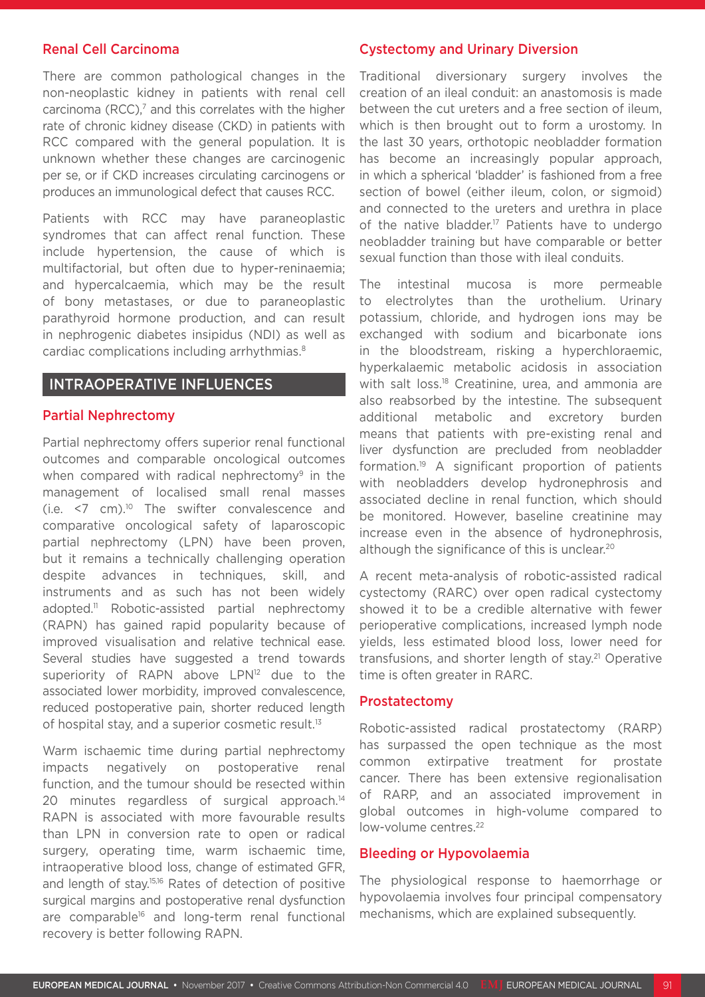#### Renal Cell Carcinoma

There are common pathological changes in the non-neoplastic kidney in patients with renal cell carcinoma (RCC), $<sup>7</sup>$  and this correlates with the higher</sup> rate of chronic kidney disease (CKD) in patients with RCC compared with the general population. It is unknown whether these changes are carcinogenic per se, or if CKD increases circulating carcinogens or produces an immunological defect that causes RCC.

Patients with RCC may have paraneoplastic syndromes that can affect renal function. These include hypertension, the cause of which is multifactorial, but often due to hyper-reninaemia; and hypercalcaemia, which may be the result of bony metastases, or due to paraneoplastic parathyroid hormone production, and can result in nephrogenic diabetes insipidus (NDI) as well as cardiac complications including arrhythmias.8

### INTRAOPERATIVE INFLUENCES

#### Partial Nephrectomy

Partial nephrectomy offers superior renal functional outcomes and comparable oncological outcomes when compared with radical nephrectomy<sup>9</sup> in the management of localised small renal masses (i.e.  $\leq$  cm).<sup>10</sup> The swifter convalescence and comparative oncological safety of laparoscopic partial nephrectomy (LPN) have been proven, but it remains a technically challenging operation despite advances in techniques, skill, and instruments and as such has not been widely adopted.11 Robotic-assisted partial nephrectomy (RAPN) has gained rapid popularity because of improved visualisation and relative technical ease. Several studies have suggested a trend towards superiority of RAPN above LPN<sup>12</sup> due to the associated lower morbidity, improved convalescence, reduced postoperative pain, shorter reduced length of hospital stay, and a superior cosmetic result.<sup>13</sup>

Warm ischaemic time during partial nephrectomy impacts negatively on postoperative renal function, and the tumour should be resected within 20 minutes regardless of surgical approach.<sup>14</sup> RAPN is associated with more favourable results than LPN in conversion rate to open or radical surgery, operating time, warm ischaemic time, intraoperative blood loss, change of estimated GFR, and length of stay.15,16 Rates of detection of positive surgical margins and postoperative renal dysfunction are comparable<sup>16</sup> and long-term renal functional recovery is better following RAPN.

#### Cystectomy and Urinary Diversion

Traditional diversionary surgery involves the creation of an ileal conduit: an anastomosis is made between the cut ureters and a free section of ileum, which is then brought out to form a urostomy. In the last 30 years, orthotopic neobladder formation has become an increasingly popular approach, in which a spherical 'bladder' is fashioned from a free section of bowel (either ileum, colon, or sigmoid) and connected to the ureters and urethra in place of the native bladder.<sup>17</sup> Patients have to undergo neobladder training but have comparable or better sexual function than those with ileal conduits.

The intestinal mucosa is more permeable to electrolytes than the urothelium. Urinary potassium, chloride, and hydrogen ions may be exchanged with sodium and bicarbonate ions in the bloodstream, risking a hyperchloraemic, hyperkalaemic metabolic acidosis in association with salt loss.<sup>18</sup> Creatinine, urea, and ammonia are also reabsorbed by the intestine. The subsequent additional metabolic and excretory burden means that patients with pre-existing renal and liver dysfunction are precluded from neobladder formation.19 A significant proportion of patients with neobladders develop hydronephrosis and associated decline in renal function, which should be monitored. However, baseline creatinine may increase even in the absence of hydronephrosis, although the significance of this is unclear.<sup>20</sup>

A recent meta-analysis of robotic-assisted radical cystectomy (RARC) over open radical cystectomy showed it to be a credible alternative with fewer perioperative complications, increased lymph node yields, less estimated blood loss, lower need for transfusions, and shorter length of stay.<sup>21</sup> Operative time is often greater in RARC.

#### Prostatectomy

Robotic-assisted radical prostatectomy (RARP) has surpassed the open technique as the most common extirpative treatment for prostate cancer. There has been extensive regionalisation of RARP, and an associated improvement in global outcomes in high-volume compared to low-volume centres.22

#### Bleeding or Hypovolaemia

The physiological response to haemorrhage or hypovolaemia involves four principal compensatory mechanisms, which are explained subsequently.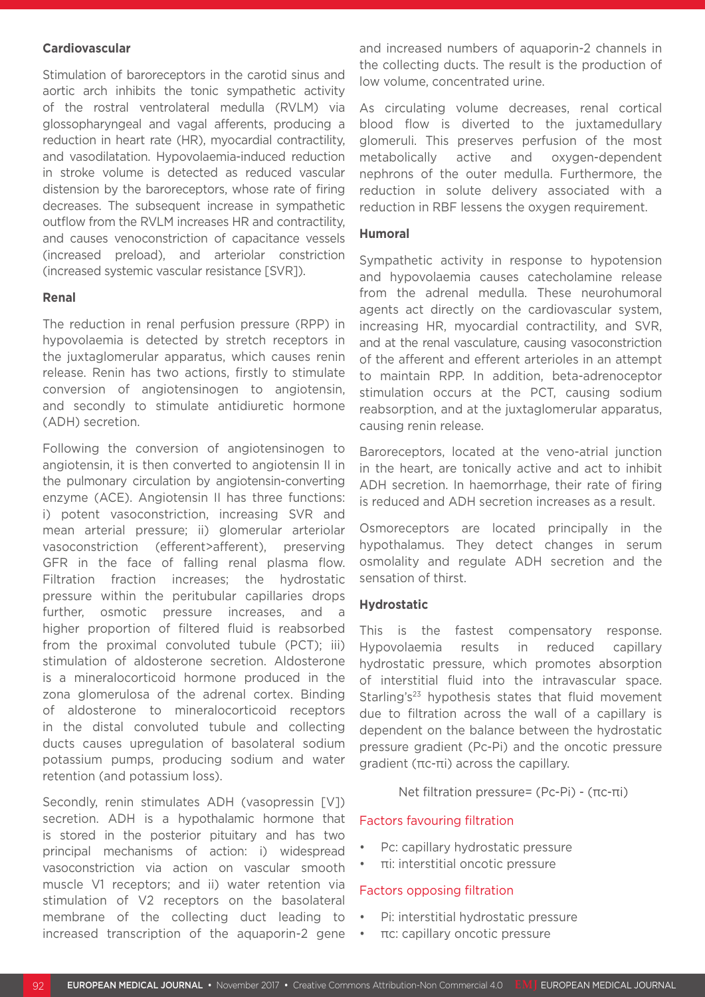#### **Cardiovascular**

Stimulation of baroreceptors in the carotid sinus and aortic arch inhibits the tonic sympathetic activity of the rostral ventrolateral medulla (RVLM) via glossopharyngeal and vagal afferents, producing a reduction in heart rate (HR), myocardial contractility, and vasodilatation. Hypovolaemia-induced reduction in stroke volume is detected as reduced vascular distension by the baroreceptors, whose rate of firing decreases. The subsequent increase in sympathetic outflow from the RVLM increases HR and contractility, and causes venoconstriction of capacitance vessels (increased preload), and arteriolar constriction (increased systemic vascular resistance [SVR]).

#### **Renal**

The reduction in renal perfusion pressure (RPP) in hypovolaemia is detected by stretch receptors in the juxtaglomerular apparatus, which causes renin release. Renin has two actions, firstly to stimulate conversion of angiotensinogen to angiotensin, and secondly to stimulate antidiuretic hormone (ADH) secretion.

Following the conversion of angiotensinogen to angiotensin, it is then converted to angiotensin II in the pulmonary circulation by angiotensin-converting enzyme (ACE). Angiotensin II has three functions: i) potent vasoconstriction, increasing SVR and mean arterial pressure; ii) glomerular arteriolar vasoconstriction (efferent>afferent), preserving GFR in the face of falling renal plasma flow. Filtration fraction increases; the hydrostatic pressure within the peritubular capillaries drops further, osmotic pressure increases, and a higher proportion of filtered fluid is reabsorbed from the proximal convoluted tubule (PCT); iii) stimulation of aldosterone secretion. Aldosterone is a mineralocorticoid hormone produced in the zona glomerulosa of the adrenal cortex. Binding of aldosterone to mineralocorticoid receptors in the distal convoluted tubule and collecting ducts causes upregulation of basolateral sodium potassium pumps, producing sodium and water retention (and potassium loss).

Secondly, renin stimulates ADH (vasopressin [V]) secretion. ADH is a hypothalamic hormone that is stored in the posterior pituitary and has two principal mechanisms of action: i) widespread vasoconstriction via action on vascular smooth muscle V1 receptors; and ii) water retention via stimulation of V2 receptors on the basolateral membrane of the collecting duct leading to increased transcription of the aquaporin-2 gene

and increased numbers of aquaporin-2 channels in the collecting ducts. The result is the production of low volume, concentrated urine.

As circulating volume decreases, renal cortical blood flow is diverted to the juxtamedullary glomeruli. This preserves perfusion of the most metabolically active and oxygen-dependent nephrons of the outer medulla. Furthermore, the reduction in solute delivery associated with a reduction in RBF lessens the oxygen requirement.

#### **Humoral**

Sympathetic activity in response to hypotension and hypovolaemia causes catecholamine release from the adrenal medulla. These neurohumoral agents act directly on the cardiovascular system, increasing HR, myocardial contractility, and SVR, and at the renal vasculature, causing vasoconstriction of the afferent and efferent arterioles in an attempt to maintain RPP. In addition, beta-adrenoceptor stimulation occurs at the PCT, causing sodium reabsorption, and at the juxtaglomerular apparatus, causing renin release.

Baroreceptors, located at the veno-atrial junction in the heart, are tonically active and act to inhibit ADH secretion. In haemorrhage, their rate of firing is reduced and ADH secretion increases as a result.

Osmoreceptors are located principally in the hypothalamus. They detect changes in serum osmolality and regulate ADH secretion and the sensation of thirst.

#### **Hydrostatic**

This is the fastest compensatory response. Hypovolaemia results in reduced capillary hydrostatic pressure, which promotes absorption of interstitial fluid into the intravascular space. Starling's<sup>23</sup> hypothesis states that fluid movement due to filtration across the wall of a capillary is dependent on the balance between the hydrostatic pressure gradient (Pc-Pi) and the oncotic pressure gradient (πc-πi) across the capillary.

Net filtration pressure= (Pc-Pi) - (πc-πi)

#### Factors favouring filtration

- Pc: capillary hydrostatic pressure
- πi: interstitial oncotic pressure

#### Factors opposing filtration

- Pi: interstitial hydrostatic pressure
- πc: capillary oncotic pressure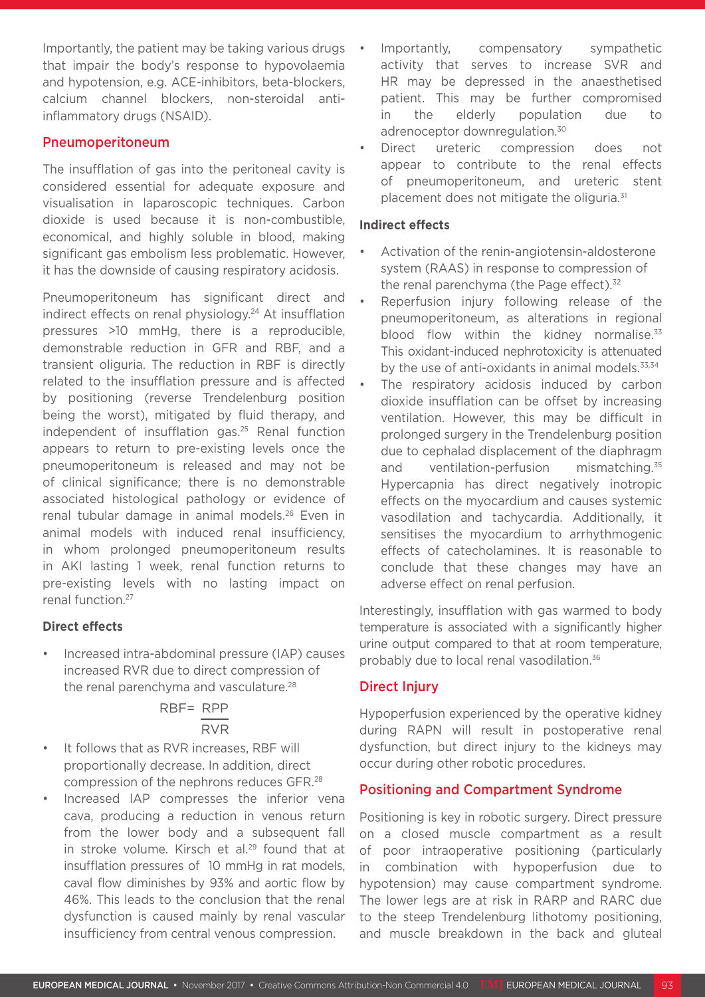Importantly, the patient may be taking various drugs that impair the body's response to hypovolaemia and hypotension, e.g. ACE-inhibitors, beta-blockers, calcium channel blockers, non-steroidal antiinflammatory drugs (NSAID).

### Pneumoperitoneum

The insufflation of gas into the peritoneal cavity is considered essential for adequate exposure and visualisation in laparoscopic techniques. Carbon dioxide is used because it is non-combustible, economical, and highly soluble in blood, making significant gas embolism less problematic. However, it has the downside of causing respiratory acidosis.

Pneumoperitoneum has significant direct and indirect effects on renal physiology.<sup>24</sup> At insufflation pressures >10 mmHg, there is a reproducible, demonstrable reduction in GFR and RBF, and a transient oliguria. The reduction in RBF is directly related to the insufflation pressure and is affected by positioning (reverse Trendelenburg position being the worst), mitigated by fluid therapy, and independent of insufflation gas.<sup>25</sup> Renal function appears to return to pre-existing levels once the pneumoperitoneum is released and may not be of clinical significance; there is no demonstrable associated histological pathology or evidence of renal tubular damage in animal models.26 Even in animal models with induced renal insufficiency, in whom prolonged pneumoperitoneum results in AKI lasting 1 week, renal function returns to pre-existing levels with no lasting impact on renal function.27

#### **Direct effects**

• Increased intra-abdominal pressure (IAP) causes increased RVR due to direct compression of the renal parenchyma and vasculature.<sup>28</sup>

# RBF= RPP RVR

- It follows that as RVR increases. RBF will proportionally decrease. In addition, direct compression of the nephrons reduces GFR.28
- Increased IAP compresses the inferior vena cava, producing a reduction in venous return from the lower body and a subsequent fall in stroke volume. Kirsch et al.<sup>29</sup> found that at insufflation pressures of 10 mmHg in rat models, caval flow diminishes by 93% and aortic flow by 46%. This leads to the conclusion that the renal dysfunction is caused mainly by renal vascular insufficiency from central venous compression.
- Importantly, compensatory sympathetic activity that serves to increase SVR and HR may be depressed in the anaesthetised patient. This may be further compromised in the elderly population due to adrenoceptor downregulation.<sup>30</sup>
- Direct ureteric compression does not appear to contribute to the renal effects of pneumoperitoneum, and ureteric stent placement does not mitigate the oliguria.<sup>31</sup>

#### **Indirect effects**

- Activation of the renin-angiotensin-aldosterone system (RAAS) in response to compression of the renal parenchyma (the Page effect).<sup>32</sup>
- Reperfusion injury following release of the pneumoperitoneum, as alterations in regional blood flow within the kidney normalise. $33$ This oxidant-induced nephrotoxicity is attenuated by the use of anti-oxidants in animal models.<sup>33,34</sup>
- The respiratory acidosis induced by carbon dioxide insufflation can be offset by increasing ventilation. However, this may be difficult in prolonged surgery in the Trendelenburg position due to cephalad displacement of the diaphragm and ventilation-perfusion mismatching.<sup>35</sup> Hypercapnia has direct negatively inotropic effects on the myocardium and causes systemic vasodilation and tachycardia. Additionally, it sensitises the myocardium to arrhythmogenic effects of catecholamines. It is reasonable to conclude that these changes may have an adverse effect on renal perfusion.

Interestingly, insufflation with gas warmed to body temperature is associated with a significantly higher urine output compared to that at room temperature, probably due to local renal vasodilation.36

### Direct Injury

Hypoperfusion experienced by the operative kidney during RAPN will result in postoperative renal dysfunction, but direct injury to the kidneys may occur during other robotic procedures.

#### Positioning and Compartment Syndrome

Positioning is key in robotic surgery. Direct pressure on a closed muscle compartment as a result of poor intraoperative positioning (particularly in combination with hypoperfusion due to hypotension) may cause compartment syndrome. The lower legs are at risk in RARP and RARC due to the steep Trendelenburg lithotomy positioning, and muscle breakdown in the back and gluteal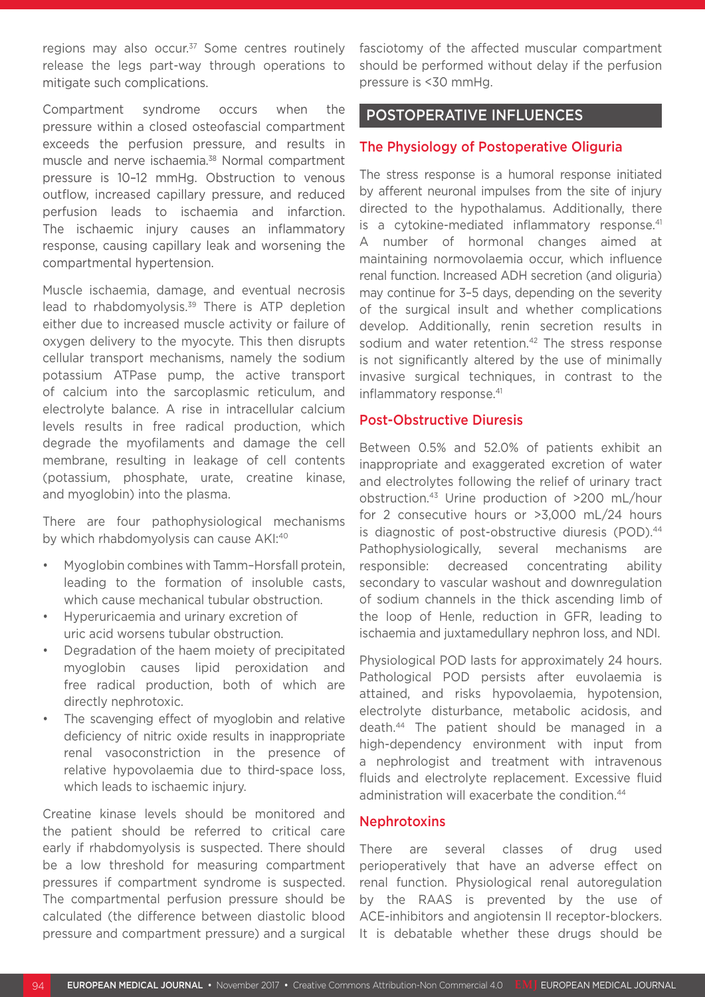regions may also occur.<sup>37</sup> Some centres routinely release the legs part-way through operations to mitigate such complications.

Compartment syndrome occurs when the pressure within a closed osteofascial compartment exceeds the perfusion pressure, and results in muscle and nerve ischaemia.38 Normal compartment pressure is 10–12 mmHg. Obstruction to venous outflow, increased capillary pressure, and reduced perfusion leads to ischaemia and infarction. The ischaemic injury causes an inflammatory response, causing capillary leak and worsening the compartmental hypertension.

Muscle ischaemia, damage, and eventual necrosis lead to rhabdomyolysis.<sup>39</sup> There is ATP depletion either due to increased muscle activity or failure of oxygen delivery to the myocyte. This then disrupts cellular transport mechanisms, namely the sodium potassium ATPase pump, the active transport of calcium into the sarcoplasmic reticulum, and electrolyte balance. A rise in intracellular calcium levels results in free radical production, which degrade the myofilaments and damage the cell membrane, resulting in leakage of cell contents (potassium, phosphate, urate, creatine kinase, and myoglobin) into the plasma.

There are four pathophysiological mechanisms by which rhabdomyolysis can cause AKI:40

- Myoglobin combines with Tamm–Horsfall protein, leading to the formation of insoluble casts, which cause mechanical tubular obstruction.
- Hyperuricaemia and urinary excretion of uric acid worsens tubular obstruction.
- Degradation of the haem moiety of precipitated myoglobin causes lipid peroxidation and free radical production, both of which are directly nephrotoxic.
- The scavenging effect of myoglobin and relative deficiency of nitric oxide results in inappropriate renal vasoconstriction in the presence of relative hypovolaemia due to third-space loss, which leads to ischaemic injury.

Creatine kinase levels should be monitored and the patient should be referred to critical care early if rhabdomyolysis is suspected. There should be a low threshold for measuring compartment pressures if compartment syndrome is suspected. The compartmental perfusion pressure should be calculated (the difference between diastolic blood pressure and compartment pressure) and a surgical

fasciotomy of the affected muscular compartment should be performed without delay if the perfusion pressure is <30 mmHg.

### POSTOPERATIVE INFLUENCES

### The Physiology of Postoperative Oliguria

The stress response is a humoral response initiated by afferent neuronal impulses from the site of injury directed to the hypothalamus. Additionally, there is a cytokine-mediated inflammatory response.<sup>41</sup> A number of hormonal changes aimed at maintaining normovolaemia occur, which influence renal function. Increased ADH secretion (and oliguria) may continue for 3–5 days, depending on the severity of the surgical insult and whether complications develop. Additionally, renin secretion results in sodium and water retention.<sup>42</sup> The stress response is not significantly altered by the use of minimally invasive surgical techniques, in contrast to the inflammatory response.41

### Post-Obstructive Diuresis

Between 0.5% and 52.0% of patients exhibit an inappropriate and exaggerated excretion of water and electrolytes following the relief of urinary tract obstruction.43 Urine production of >200 mL/hour for 2 consecutive hours or >3,000 mL/24 hours is diagnostic of post-obstructive diuresis (POD).<sup>44</sup> Pathophysiologically, several mechanisms are responsible: decreased concentrating ability secondary to vascular washout and downregulation of sodium channels in the thick ascending limb of the loop of Henle, reduction in GFR, leading to ischaemia and juxtamedullary nephron loss, and NDI.

Physiological POD lasts for approximately 24 hours. Pathological POD persists after euvolaemia is attained, and risks hypovolaemia, hypotension, electrolyte disturbance, metabolic acidosis, and death.44 The patient should be managed in a high-dependency environment with input from a nephrologist and treatment with intravenous fluids and electrolyte replacement. Excessive fluid administration will exacerbate the condition.<sup>44</sup>

### Nephrotoxins

There are several classes of drug used perioperatively that have an adverse effect on renal function. Physiological renal autoregulation by the RAAS is prevented by the use of ACE-inhibitors and angiotensin II receptor-blockers. It is debatable whether these drugs should be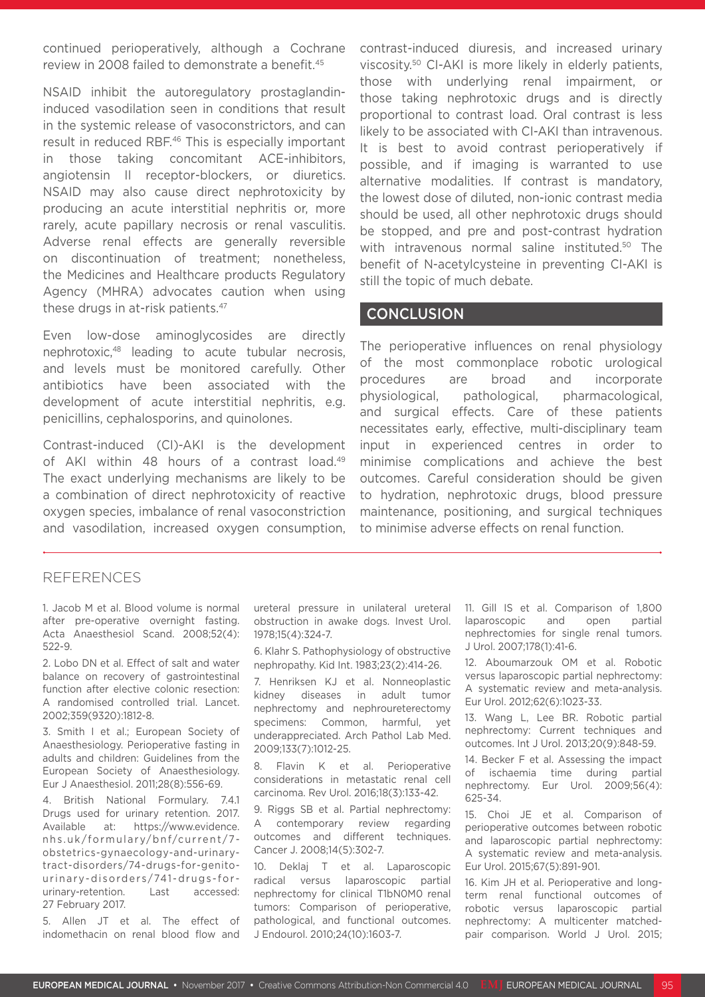continued perioperatively, although a Cochrane review in 2008 failed to demonstrate a benefit.<sup>45</sup>

NSAID inhibit the autoregulatory prostaglandininduced vasodilation seen in conditions that result in the systemic release of vasoconstrictors, and can result in reduced RBF.46 This is especially important in those taking concomitant ACE-inhibitors, angiotensin II receptor-blockers, or diuretics. NSAID may also cause direct nephrotoxicity by producing an acute interstitial nephritis or, more rarely, acute papillary necrosis or renal vasculitis. Adverse renal effects are generally reversible on discontinuation of treatment; nonetheless, the Medicines and Healthcare products Regulatory Agency (MHRA) advocates caution when using these drugs in at-risk patients.<sup>47</sup>

Even low-dose aminoglycosides are directly nephrotoxic,48 leading to acute tubular necrosis, and levels must be monitored carefully. Other antibiotics have been associated with the development of acute interstitial nephritis, e.g. penicillins, cephalosporins, and quinolones.

Contrast-induced (CI)-AKI is the development of AKI within 48 hours of a contrast load.<sup>49</sup> The exact underlying mechanisms are likely to be a combination of direct nephrotoxicity of reactive oxygen species, imbalance of renal vasoconstriction and vasodilation, increased oxygen consumption, contrast-induced diuresis, and increased urinary viscosity.50 CI-AKI is more likely in elderly patients, those with underlying renal impairment, or those taking nephrotoxic drugs and is directly proportional to contrast load. Oral contrast is less likely to be associated with CI-AKI than intravenous. It is best to avoid contrast perioperatively if possible, and if imaging is warranted to use alternative modalities. If contrast is mandatory, the lowest dose of diluted, non-ionic contrast media should be used, all other nephrotoxic drugs should be stopped, and pre and post-contrast hydration with intravenous normal saline instituted.<sup>50</sup> The benefit of N-acetylcysteine in preventing CI-AKI is still the topic of much debate.

### **CONCLUSION**

The perioperative influences on renal physiology of the most commonplace robotic urological procedures are broad and incorporate physiological, pathological, pharmacological, and surgical effects. Care of these patients necessitates early, effective, multi-disciplinary team input in experienced centres in order to minimise complications and achieve the best outcomes. Careful consideration should be given to hydration, nephrotoxic drugs, blood pressure maintenance, positioning, and surgical techniques to minimise adverse effects on renal function.

### REFERENCES

1. Jacob M et al. Blood volume is normal after pre-operative overnight fasting. Acta Anaesthesiol Scand. 2008;52(4): 522-9.

2. Lobo DN et al. Effect of salt and water balance on recovery of gastrointestinal function after elective colonic resection: A randomised controlled trial. Lancet. 2002;359(9320):1812-8.

3. Smith I et al.; European Society of Anaesthesiology. Perioperative fasting in adults and children: Guidelines from the European Society of Anaesthesiology. Eur J Anaesthesiol. 2011;28(8):556-69.

4. British National Formulary. 7.4.1 Drugs used for urinary retention. 2017. Available at: https://www.evidence. nhs.uk/formulary/bnf/current/7 obstetrics-gynaecology-and-urinarytract-disorders/74-drugs-for-genitourinary-disorders/741-drugs-forurinary-retention. Last accessed: 27 February 2017.

5. Allen JT et al. The effect of indomethacin on renal blood flow and

ureteral pressure in unilateral ureteral obstruction in awake dogs. Invest Urol. 1978;15(4):324-7.

6. Klahr S. Pathophysiology of obstructive nephropathy. Kid Int. 1983;23(2):414-26.

7. Henriksen KJ et al. Nonneoplastic kidney diseases in adult tumor nephrectomy and nephroureterectomy specimens: Common, harmful, yet underappreciated. Arch Pathol Lab Med. 2009;133(7):1012-25.

8. Flavin K et al. Perioperative considerations in metastatic renal cell carcinoma. Rev Urol. 2016;18(3):133-42.

9. Riggs SB et al. Partial nephrectomy: A contemporary review regarding outcomes and different techniques. Cancer J. 2008;14(5):302-7.

10. Deklaj T et al. Laparoscopic radical versus laparoscopic partial nephrectomy for clinical T1bN0M0 renal tumors: Comparison of perioperative, pathological, and functional outcomes. J Endourol. 2010;24(10):1603-7.

11. Gill IS et al. Comparison of 1,800 laparoscopic and open partial nephrectomies for single renal tumors. J Urol. 2007;178(1):41-6.

12. Aboumarzouk OM et al. Robotic versus laparoscopic partial nephrectomy: A systematic review and meta-analysis. Eur Urol. 2012;62(6):1023-33.

13. Wang L, Lee BR. Robotic partial nephrectomy: Current techniques and outcomes. Int J Urol. 2013;20(9):848-59.

14. Becker F et al. Assessing the impact of ischaemia time during partial nephrectomy. Eur Urol. 2009;56(4): 625-34.

15. Choi JE et al. Comparison of perioperative outcomes between robotic and laparoscopic partial nephrectomy: A systematic review and meta-analysis. Eur Urol. 2015;67(5):891-901.

16. Kim JH et al. Perioperative and longterm renal functional outcomes of robotic versus laparoscopic partial nephrectomy: A multicenter matchedpair comparison. World J Urol. 2015;